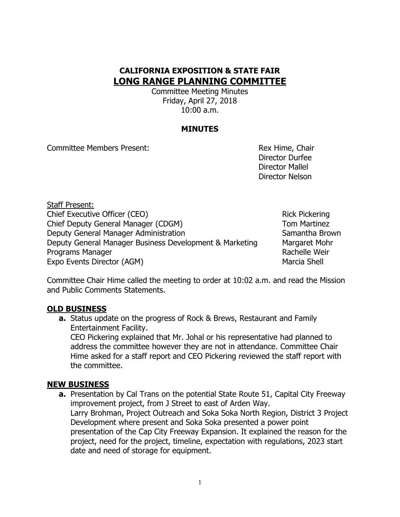# **CALIFORNIA EXPOSITION & STATE FAIR LONG RANGE PLANNING COMMITTEE**

Committee Meeting Minutes Friday, April 27, 2018 10:00 a.m.

### **MINUTES**

Committee Members Present: The Committee Members Present:

Director Durfee Director Mallel Director Nelson

Staff Present: Chief Executive Officer (CEO) **Rick Pickering** Rick Pickering Chief Deputy General Manager (CDGM) Tom Martinez Deputy General Manager Administration Samantha Brown Deputy General Manager Business Development & Marketing Margaret Mohr Programs Manager **Rachelle Weir** Rachelle Weir Expo Events Director (AGM) Marcia Shell

Committee Chair Hime called the meeting to order at 10:02 a.m. and read the Mission and Public Comments Statements.

## **OLD BUSINESS**

**a.** Status update on the progress of Rock & Brews, Restaurant and Family Entertainment Facility.

CEO Pickering explained that Mr. Johal or his representative had planned to address the committee however they are not in attendance. Committee Chair Hime asked for a staff report and CEO Pickering reviewed the staff report with the committee.

#### **NEW BUSINESS**

**a.** Presentation by Cal Trans on the potential State Route 51, Capital City Freeway improvement project, from J Street to east of Arden Way. Larry Brohman, Project Outreach and Soka Soka North Region, District 3 Project Development where present and Soka Soka presented a power point presentation of the Cap City Freeway Expansion. It explained the reason for the project, need for the project, timeline, expectation with regulations, 2023 start date and need of storage for equipment.